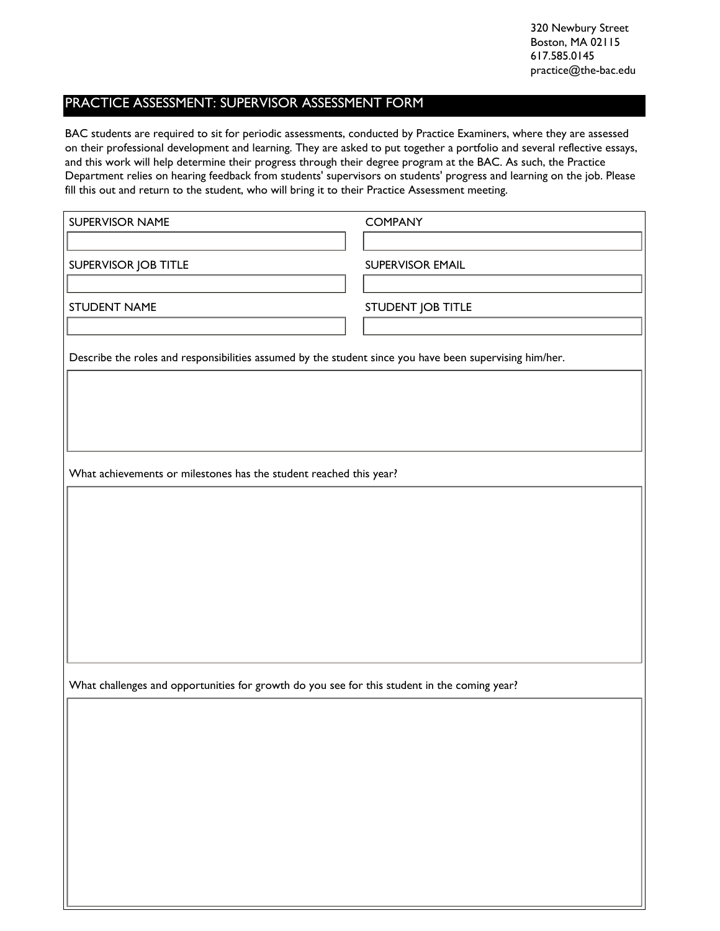320 Newbury Street Boston, MA 02115 617.585.0145 practice@the-bac.edu

## PRACTICE ASSESSMENT: SUPERVISOR ASSESSMENT FORM

BAC students are required to sit for periodic assessments, conducted by Practice Examiners, where they are assessed on their professional development and learning. They are asked to put together a portfolio and several reflective essays, and this work will help determine their progress through their degree program at the BAC. As such, the Practice Department relies on hearing feedback from students' supervisors on students' progress and learning on the job. Please fill this out and return to the student, who will bring it to their Practice Assessment meeting.

| <b>SUPERVISOR NAME</b>                                                                                  | <b>COMPANY</b>    |  |
|---------------------------------------------------------------------------------------------------------|-------------------|--|
|                                                                                                         |                   |  |
| SUPERVISOR JOB TITLE                                                                                    | SUPERVISOR EMAIL  |  |
|                                                                                                         |                   |  |
| STUDENT NAME                                                                                            | STUDENT JOB TITLE |  |
|                                                                                                         |                   |  |
| Describe the roles and responsibilities assumed by the student since you have been supervising him/her. |                   |  |
|                                                                                                         |                   |  |
|                                                                                                         |                   |  |
|                                                                                                         |                   |  |
|                                                                                                         |                   |  |
| What achievements or milestones has the student reached this year?                                      |                   |  |
|                                                                                                         |                   |  |
|                                                                                                         |                   |  |
|                                                                                                         |                   |  |
|                                                                                                         |                   |  |
|                                                                                                         |                   |  |
|                                                                                                         |                   |  |
|                                                                                                         |                   |  |
|                                                                                                         |                   |  |
| What challenges and opportunities for growth do you see for this student in the coming year?            |                   |  |
|                                                                                                         |                   |  |
|                                                                                                         |                   |  |
|                                                                                                         |                   |  |
|                                                                                                         |                   |  |
|                                                                                                         |                   |  |
|                                                                                                         |                   |  |